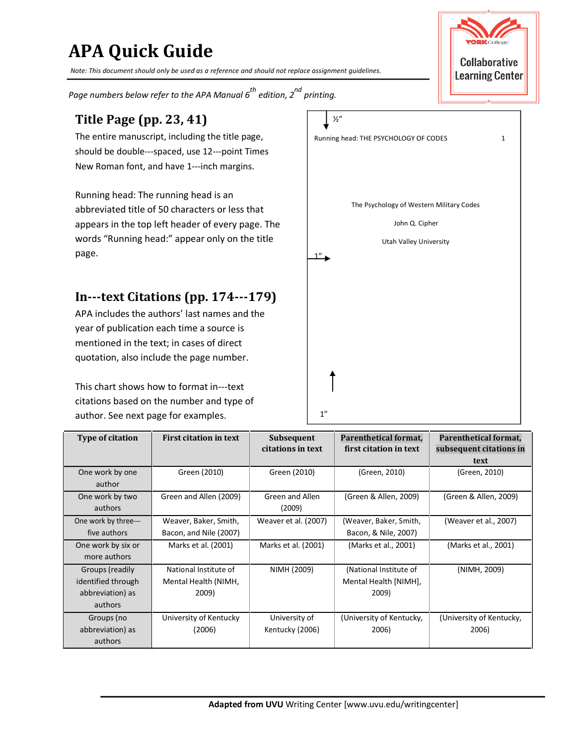# **APA Quick Guide**

*Note: This document should only be used as a reference and should not replace assignment guidelines.* 

Page numbers below refer to the APA Manual 6<sup>th</sup> edition, 2<sup>nd</sup> printing.

### **Title Page (pp. 23, 41)** ½"

should be double---spaced, use 12---point Times New Roman font, and have 1---inch margins.

 Running head: The running head is an appears in the top left header of every page. The John Q. Cipher words "Running head:" appear only on the title  $U_{\text{total}}$  Utah Valley University The Psychology of Western Military Codes abbreviated title of 50 characters or less that page.  $\begin{array}{ccc} & & & \end{array}$ 

## **In-text Citations (pp. 174-179)**

 APA includes the authors' last names and the year of publication each time a source is mentioned in the text; in cases of direct quotation, also include the page number.

This chart shows how to format in---text author. See next page for examples.  $1^2$ citations based on the number and type of



| <b>Type of citation</b>                                              | <b>First citation in text</b>                          | <b>Subsequent</b><br>citations in text | Parenthetical format,<br>first citation in text          | Parenthetical format,<br>subsequent citations in<br>text |
|----------------------------------------------------------------------|--------------------------------------------------------|----------------------------------------|----------------------------------------------------------|----------------------------------------------------------|
| One work by one<br>author                                            | Green (2010)                                           | Green (2010)                           | (Green, 2010)                                            | (Green, 2010)                                            |
| One work by two<br>authors                                           | Green and Allen (2009)                                 | Green and Allen<br>(2009)              | (Green & Allen, 2009)                                    | (Green & Allen, 2009)                                    |
| One work by three---<br>five authors                                 | Weaver, Baker, Smith,<br>Bacon, and Nile (2007)        | Weaver et al. (2007)                   | (Weaver, Baker, Smith,<br>Bacon, & Nile, 2007)           | (Weaver et al., 2007)                                    |
| One work by six or<br>more authors                                   | Marks et al. (2001)                                    | Marks et al. (2001)                    | (Marks et al., 2001)                                     | (Marks et al., 2001)                                     |
| Groups (readily<br>identified through<br>abbreviation) as<br>authors | National Institute of<br>Mental Health (NIMH,<br>2009) | NIMH (2009)                            | (National Institute of<br>Mental Health [NIMH],<br>2009) | (NIMH, 2009)                                             |
| Groups (no<br>abbreviation) as<br>authors                            | University of Kentucky<br>(2006)                       | University of<br>Kentucky (2006)       | (University of Kentucky,<br>2006)                        | (University of Kentucky,<br>2006)                        |

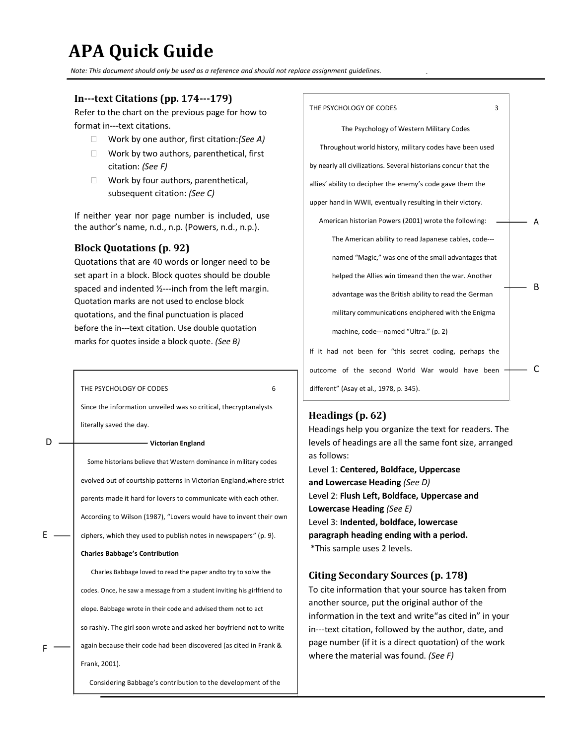# **APA Quick Guide**

*Note: This document should only be used as a reference and should not replace assignment guidelines.* 

#### **In-text Citations (pp. 174-179)**

 Refer to the chart on the previous page for how to format in---text citations.

- Work by one author, first citation:*(See A)*
- □ Work by two authors, parenthetical, first citation: *(See F)*
- □ Work by four authors, parenthetical, subsequent citation: *(See C)*

 If neither year nor page number is included, use the author's name, n.d., n.p. (Powers, n.d., n.p.).

#### **Block Quotations (p. 92)**

 Quotations that are 40 words or longer need to be spaced and indented  $\frac{1}{2}$ --inch from the left margin. set apart in a block. Block quotes should be double Quotation marks are not used to enclose block quotations, and the final punctuation is placed before the in---text citation. Use double quotation marks for quotes inside a block quote. *(See B)* 

|   | THE PSYCHOLOGY OF CODES<br>6                                            |  |
|---|-------------------------------------------------------------------------|--|
|   | Since the information unveiled was so critical, thecryptanalysts        |  |
|   | literally saved the day.                                                |  |
|   | Victorian England                                                       |  |
|   | Some historians believe that Western dominance in military codes        |  |
|   | evolved out of courtship patterns in Victorian England, where strict    |  |
|   | parents made it hard for lovers to communicate with each other.         |  |
|   | According to Wilson (1987), "Lovers would have to invent their own      |  |
| F | ciphers, which they used to publish notes in newspapers" (p. 9).        |  |
|   | <b>Charles Babbage's Contribution</b>                                   |  |
|   | Charles Babbage loved to read the paper andto try to solve the          |  |
|   | codes. Once, he saw a message from a student inviting his girlfriend to |  |
|   | elope. Babbage wrote in their code and advised them not to act          |  |
|   | so rashly. The girl soon wrote and asked her boyfriend not to write     |  |
| F | again because their code had been discovered (as cited in Frank &       |  |
|   | Frank, 2001).                                                           |  |
|   | Considering Babbage's contribution to the development of the            |  |

 Throughout world history, military codes have been used by nearly all civilizations. Several historians concur that the allies' ability to decipher the enemy's code gave them the upper hand in WWII, eventually resulting in their victory. American historian Powers (2001) wrote the following:  $\longrightarrow$  A The American ability to read Japanese cables, code- named "Magic," was one of the small advantages that helped the Allies win timeand then the war. Another advantage was the British ability to read the German military communications enciphered with the Enigma machine, code---named "Ultra." (p. 2) If it had not been for "this secret coding, perhaps the outcome of the second World War would have been  $\leftarrow$  C different" (Asay et al., 1978, p. 345). THE PSYCHOLOGY OF CODES 3 The Psychology of Western Military Codes B

### **Headings (p. 62)**

 Headings help you organize the text for readers. The levels of headings are all the same font size, arranged as follows: Level 1: **Centered, Boldface, Uppercase and Lowercase Heading** *(See D)*  Level 2: **Flush Left, Boldface, Uppercase and**   **Lowercase Heading** *(See E)* 

 Level 3: **Indented, boldface, lowercase paragraph heading ending with a period.**  \*This sample uses 2 levels.

#### **Citing Secondary Sources (p. 178)**

 To cite information that your source has taken from another source, put the original author of the information in the text and write"as cited in" in your in---text citation, followed by the author, date, and page number (if it is a direct quotation) of the work where the material was found. *(See F)*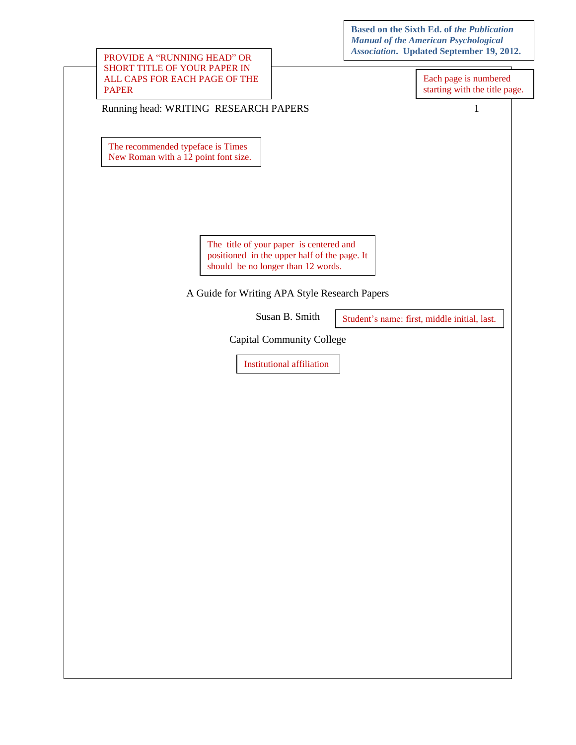**Based on the Sixth Ed. of** *the Publication Manual of the American Psychological Association***. Updated September 19, 2012.** 

| SHORT TITLE OF YOUR PAPER IN<br>ALL CAPS FOR EACH PAGE OF THE<br><b>PAPER</b><br>$\mathbf{1}$<br>Running head: WRITING RESEARCH PAPERS<br>The recommended typeface is Times<br>New Roman with a 12 point font size.<br>The title of your paper is centered and<br>positioned in the upper half of the page. It<br>should be no longer than 12 words.<br>A Guide for Writing APA Style Research Papers<br>Susan B. Smith<br>Student's name: first, middle initial, last.<br><b>Capital Community College</b><br><b>Institutional affiliation</b> | Each page is numbered<br>starting with the title page. | PROVIDE A "RUNNING HEAD" OR |  | <b>Association.</b> Updated September 19, 2012. |
|-------------------------------------------------------------------------------------------------------------------------------------------------------------------------------------------------------------------------------------------------------------------------------------------------------------------------------------------------------------------------------------------------------------------------------------------------------------------------------------------------------------------------------------------------|--------------------------------------------------------|-----------------------------|--|-------------------------------------------------|
|                                                                                                                                                                                                                                                                                                                                                                                                                                                                                                                                                 |                                                        |                             |  |                                                 |
|                                                                                                                                                                                                                                                                                                                                                                                                                                                                                                                                                 |                                                        |                             |  |                                                 |
|                                                                                                                                                                                                                                                                                                                                                                                                                                                                                                                                                 |                                                        |                             |  |                                                 |
|                                                                                                                                                                                                                                                                                                                                                                                                                                                                                                                                                 |                                                        |                             |  |                                                 |
|                                                                                                                                                                                                                                                                                                                                                                                                                                                                                                                                                 |                                                        |                             |  |                                                 |
|                                                                                                                                                                                                                                                                                                                                                                                                                                                                                                                                                 |                                                        |                             |  |                                                 |
|                                                                                                                                                                                                                                                                                                                                                                                                                                                                                                                                                 |                                                        |                             |  |                                                 |
|                                                                                                                                                                                                                                                                                                                                                                                                                                                                                                                                                 |                                                        |                             |  |                                                 |
|                                                                                                                                                                                                                                                                                                                                                                                                                                                                                                                                                 |                                                        |                             |  |                                                 |
|                                                                                                                                                                                                                                                                                                                                                                                                                                                                                                                                                 |                                                        |                             |  |                                                 |
|                                                                                                                                                                                                                                                                                                                                                                                                                                                                                                                                                 |                                                        |                             |  |                                                 |
|                                                                                                                                                                                                                                                                                                                                                                                                                                                                                                                                                 |                                                        |                             |  |                                                 |
|                                                                                                                                                                                                                                                                                                                                                                                                                                                                                                                                                 |                                                        |                             |  |                                                 |
|                                                                                                                                                                                                                                                                                                                                                                                                                                                                                                                                                 |                                                        |                             |  |                                                 |
|                                                                                                                                                                                                                                                                                                                                                                                                                                                                                                                                                 |                                                        |                             |  |                                                 |
|                                                                                                                                                                                                                                                                                                                                                                                                                                                                                                                                                 |                                                        |                             |  |                                                 |
|                                                                                                                                                                                                                                                                                                                                                                                                                                                                                                                                                 |                                                        |                             |  |                                                 |
|                                                                                                                                                                                                                                                                                                                                                                                                                                                                                                                                                 |                                                        |                             |  |                                                 |
|                                                                                                                                                                                                                                                                                                                                                                                                                                                                                                                                                 |                                                        |                             |  |                                                 |
|                                                                                                                                                                                                                                                                                                                                                                                                                                                                                                                                                 |                                                        |                             |  |                                                 |
|                                                                                                                                                                                                                                                                                                                                                                                                                                                                                                                                                 |                                                        |                             |  |                                                 |
|                                                                                                                                                                                                                                                                                                                                                                                                                                                                                                                                                 |                                                        |                             |  |                                                 |
|                                                                                                                                                                                                                                                                                                                                                                                                                                                                                                                                                 |                                                        |                             |  |                                                 |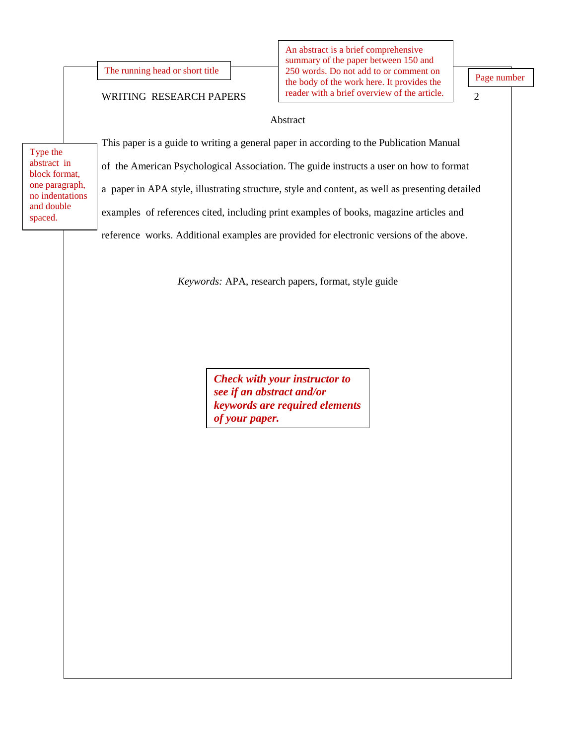The running head or short title

#### WRITING RESEARCH PAPERS

 summary of the paper between 150 and 250 words. Do not add to or comment on the body of the work here. It provides the reader with a brief overview of the article. An abstract is a brief comprehensive

Page number

#### 2

#### Abstract

 abstract in one paragraph, block format, Type the no indentations and double spaced.

This paper is a guide to writing a general paper in according to the Publication Manual examples of references cited, including print examples of books, magazine articles and of the American Psychological Association. The guide instructs a user on how to format a paper in APA style, illustrating structure, style and content, as well as presenting detailed

reference works. Additional examples are provided for electronic versions of the above.

*Keywords:* APA, research papers, format, style guide

*Check with your instructor to see if an abstract and/or keywords are required elements of your paper.*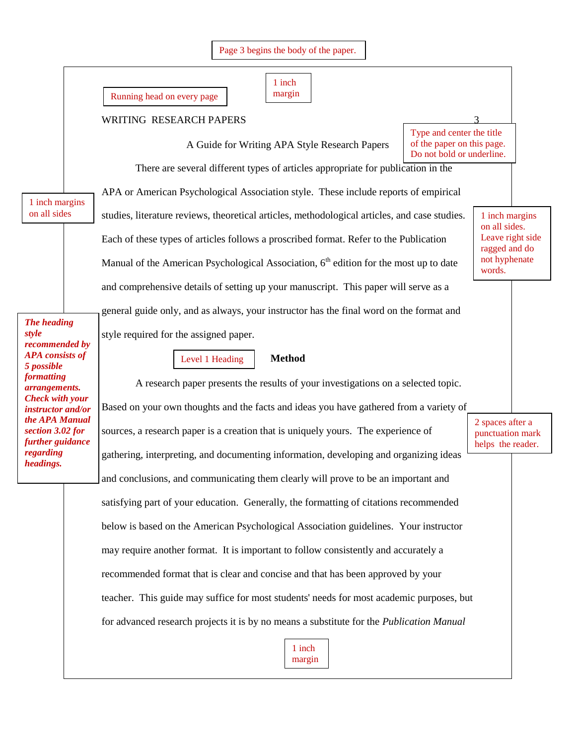|  | Page 3 begins the body of the paper. |  |  |  |  |  |
|--|--------------------------------------|--|--|--|--|--|
|--|--------------------------------------|--|--|--|--|--|

| er<br>ı<br>۹ |
|--------------|
| пи<br>u      |

Running head on every page margin

#### WRITING RESEARCH PAPERS 3

 Type and center the title of the paper on this page. Do not bold or underline.

1 inch margins

on all sides. Leave right side

ragged and do

not hyphenate words.

There are several different types of articles appropriate for publication in the

A Guide for Writing APA Style Research Papers

APA or American Psychological Association style. These include reports of empirical studies, literature reviews, theoretical articles, methodological articles, and case studies. Each of these types of articles follows a proscribed format. Refer to the Publication Manual of the American Psychological Association,  $6<sup>th</sup>$  edition for the most up to date and comprehensive details of setting up your manuscript. This paper will serve as a general guide only, and as always, your instructor has the final word on the format and

style required for the assigned paper.

Level 1 Heading **Method** 

A research paper presents the results of your investigations on a selected topic.

 *APA consists of Check with your instructor and/or The heading style recommended by 5 possible formatting arrangements. the APA Manual section 3.02 for further guidance regarding headings.* 

1 inch margins

on all sides

 satisfying part of your education. Generally, the formatting of citations recommended recommended format that is clear and concise and that has been approved by your teacher. This guide may suffice for most students' needs for most academic purposes, but  for advanced research projects it is by no means a substitute for the *Publication Manual* 2 spaces after a punctuation mark Based on your own thoughts and the facts and ideas you have gathered from a variety of sources, a research paper is a creation that is uniquely yours. The experience of helps the reader. gathering, interpreting, and documenting information, developing and organizing ideas and conclusions, and communicating them clearly will prove to be an important and below is based on the American Psychological Association guidelines. Your instructor may require another format. It is important to follow consistently and accurately a

> 1 inch margin